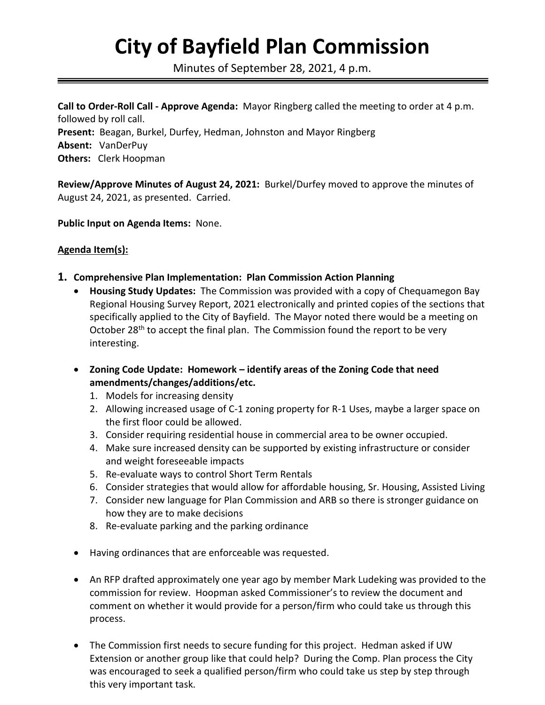## **City of Bayfield Plan Commission**

Minutes of September 28, 2021, 4 p.m.

**Call to Order-Roll Call - Approve Agenda:** Mayor Ringberg called the meeting to order at 4 p.m. followed by roll call. **Present:** Beagan, Burkel, Durfey, Hedman, Johnston and Mayor Ringberg **Absent:** VanDerPuy **Others:** Clerk Hoopman

**Review/Approve Minutes of August 24, 2021:** Burkel/Durfey moved to approve the minutes of August 24, 2021, as presented. Carried.

**Public Input on Agenda Items:** None.

## **Agenda Item(s):**

- **1. Comprehensive Plan Implementation: Plan Commission Action Planning**
	- **Housing Study Updates:** The Commission was provided with a copy of Chequamegon Bay Regional Housing Survey Report, 2021 electronically and printed copies of the sections that specifically applied to the City of Bayfield. The Mayor noted there would be a meeting on October 28<sup>th</sup> to accept the final plan. The Commission found the report to be very interesting.
	- **Zoning Code Update: Homework – identify areas of the Zoning Code that need amendments/changes/additions/etc.**
		- 1. Models for increasing density
		- 2. Allowing increased usage of C-1 zoning property for R-1 Uses, maybe a larger space on the first floor could be allowed.
		- 3. Consider requiring residential house in commercial area to be owner occupied.
		- 4. Make sure increased density can be supported by existing infrastructure or consider and weight foreseeable impacts
		- 5. Re-evaluate ways to control Short Term Rentals
		- 6. Consider strategies that would allow for affordable housing, Sr. Housing, Assisted Living
		- 7. Consider new language for Plan Commission and ARB so there is stronger guidance on how they are to make decisions
		- 8. Re-evaluate parking and the parking ordinance
	- Having ordinances that are enforceable was requested.
	- An RFP drafted approximately one year ago by member Mark Ludeking was provided to the commission for review. Hoopman asked Commissioner's to review the document and comment on whether it would provide for a person/firm who could take us through this process.
	- The Commission first needs to secure funding for this project. Hedman asked if UW Extension or another group like that could help? During the Comp. Plan process the City was encouraged to seek a qualified person/firm who could take us step by step through this very important task.